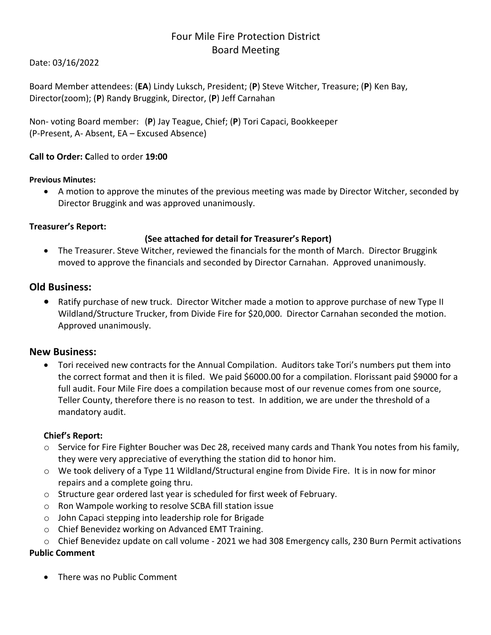# Four Mile Fire Protection District Board Meeting

Date: 03/16/2022

Board Member attendees: (**EA**) Lindy Luksch, President; (**P**) Steve Witcher, Treasure; (**P**) Ken Bay, Director(zoom); (**P**) Randy Bruggink, Director, (**P**) Jeff Carnahan

Non- voting Board member: (**P**) Jay Teague, Chief; (**P**) Tori Capaci, Bookkeeper (P-Present, A- Absent, EA – Excused Absence)

## **Call to Order: C**alled to order **19:00**

#### **Previous Minutes:**

• A motion to approve the minutes of the previous meeting was made by Director Witcher, seconded by Director Bruggink and was approved unanimously.

### **Treasurer's Report:**

### **(See attached for detail for Treasurer's Report)**

• The Treasurer. Steve Witcher, reviewed the financials for the month of March. Director Bruggink moved to approve the financials and seconded by Director Carnahan. Approved unanimously.

## **Old Business:**

• Ratify purchase of new truck. Director Witcher made a motion to approve purchase of new Type II Wildland/Structure Trucker, from Divide Fire for \$20,000. Director Carnahan seconded the motion. Approved unanimously.

## **New Business:**

• Tori received new contracts for the Annual Compilation. Auditors take Tori's numbers put them into the correct format and then it is filed. We paid \$6000.00 for a compilation. Florissant paid \$9000 for a full audit. Four Mile Fire does a compilation because most of our revenue comes from one source, Teller County, therefore there is no reason to test. In addition, we are under the threshold of a mandatory audit.

## **Chief's Report:**

- o Service for Fire Fighter Boucher was Dec 28, received many cards and Thank You notes from his family, they were very appreciative of everything the station did to honor him.
- o We took delivery of a Type 11 Wildland/Structural engine from Divide Fire. It is in now for minor repairs and a complete going thru.
- $\circ$  Structure gear ordered last year is scheduled for first week of February.
- o Ron Wampole working to resolve SCBA fill station issue
- o John Capaci stepping into leadership role for Brigade
- o Chief Benevidez working on Advanced EMT Training.
- $\circ$  Chief Benevidez update on call volume 2021 we had 308 Emergency calls, 230 Burn Permit activations

## **Public Comment**

• There was no Public Comment